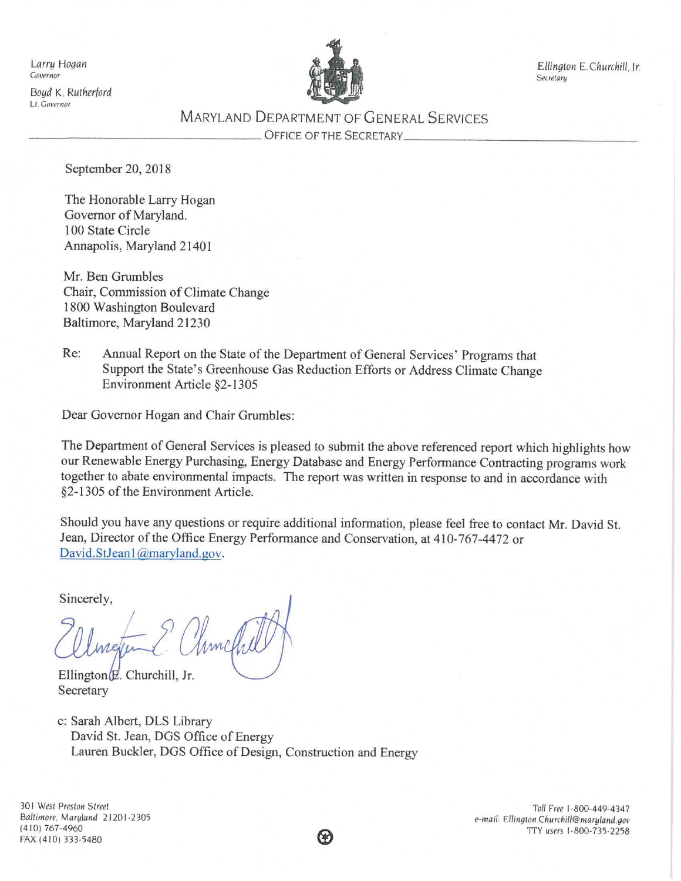*Larry Hogan*  Governor

*Boyd* K. *Rutherford*  Lt. Governor



*Ellington E.Churchill.* Jr. **Secretary** 

# MARYLAND DEPARTMENT OF GENERAL SERVICES \_\_\_\_\_\_\_\_\_\_\_\_\_\_\_\_ OFFICE OF THE SECRETARY \_\_\_\_\_\_\_\_\_\_\_\_\_\_\_ \_

September 20, 2018

The Honorable Larry Hogan Governor of Maryland. 100 State Circle Annapolis, Maryland 21401

Mr. Ben Grumbles Chair, Commission of Climate Change 1800 Washington Boulevard Baltimore, Maryland 21230

Re: Annual Report on the State of the Department of General Services' Programs that Support the State's Greenhouse Gas Reduction Efforts or Address Climate Change Environment Article §2-1305

Dear Governor Hogan and Chair Grumbles:

The Department of General Services is pleased to submit the above referenced report which highlights how our Renewable Energy Purchasing, Energy Database and Energy Performance Contracting programs work together to abate environmental impacts. The report was written in response to and in accordance with §2-1305 of the Environment Article.

Should you have any questions or require additional information, please feel free to contact Mr. David St. Jean, Director of the Office Energy Performance and Conservation, at 410-767-4472 or David.StJean1@maryland.gov.

Sincerely,

Ellington $E$ . Churchill, Jr. Secretary

c: Sarah Albert, DLS Library David St. Jean, DOS Office of Energy Lauren Buckler, DOS Office of Design, Construction and Energy

30 I *West Preston Street Baltimore. Maryland* 21201 -2305 (410) 767-4960 FAX (410) 333-5480

*Toll Free* 1-800-449-4347 *e-mail: Ellington Churchill@maryland.gov*  1TY *users* 1-800-735-2258

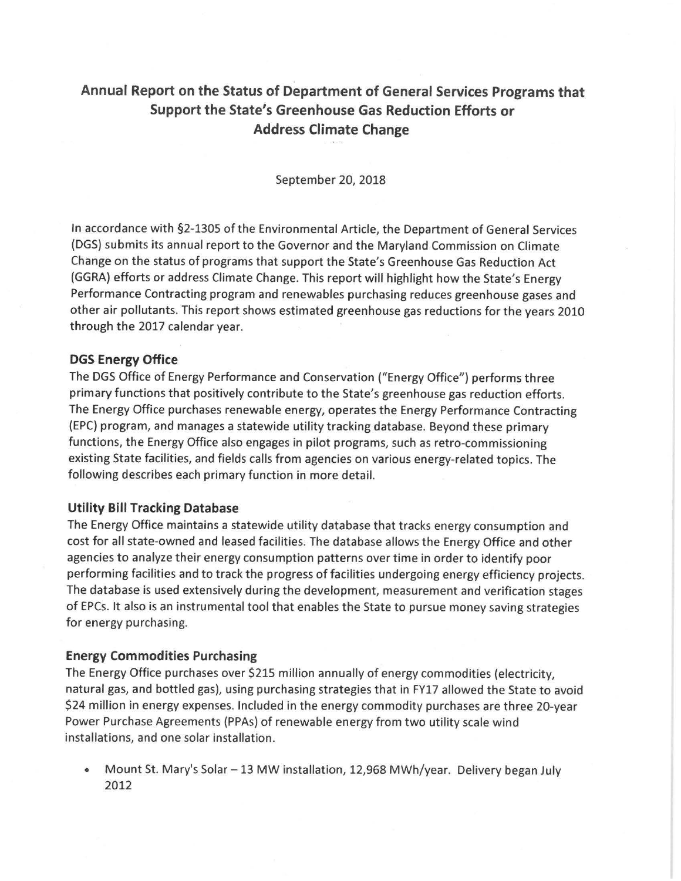# **Annual Report on the Status of Department of General Services Programs that Support the State's Greenhouse Gas Reduction Efforts or Address Climate Change**

September 20, 2018

In accordance with §2-1305 of the Environmental Article, the Department of General Services (DGS) submits its annual report to the Governor and the Maryland Commission on Climate Change on the status of programs that support the State's Greenhouse Gas Reduction Act (GGRA) efforts or address Climate Change. This report will highlight how the State's Energy Performance Contracting program and renewables purchasing reduces greenhouse gases and other air pollutants. This report shows estimated greenhouse gas reductions for the years 2010 through the 2017 calendar year.

#### **DGS Energy Office**

The DGS Office of Energy Performance and Conservation ("Energy Office") performs three primary functions that positively contribute to the State's greenhouse gas reduction efforts. The Energy Office purchases renewable energy, operates the Energy Performance Contracting (EPC) program, and manages a statewide utility tracking database. Beyond these primary functions, the Energy Office also engages in pilot programs, such as retro-commissioning existing State facilities, and fields calls from agencies on various energy-related topics. The following describes each primary function in more detail.

#### **Utility Bill Tracking Database**

The Energy Office maintains a statewide utility database that tracks energy consumption and cost for all state-owned and leased facilities. The database allows the Energy Office and other agencies to analyze their energy consumption patterns over time in order to identify poor performing facilities and to track the progress of facilities undergoing energy efficiency projects. The database is used extensively during the development, measurement and verification stages of EPCs. It also is an instrumental tool that enables the State to pursue money saving strategies for energy purchasing.

#### **Energy Commodities Purchasing**

The Energy Office purchases over \$215 million annually of energy commodities (electricity, natural gas, and bottled gas), using purchasing strategies that in FY17 allowed the State to avoid \$24 million in energy expenses. Included in the energy commodity purchases are three 20-year Power Purchase Agreements (PPAs) of renewable energy from two utility scale wind installations, and one solar installation.

• Mount St. Mary's Solar - 13 MW installation, 12,968 MWh/year. Delivery began July 2012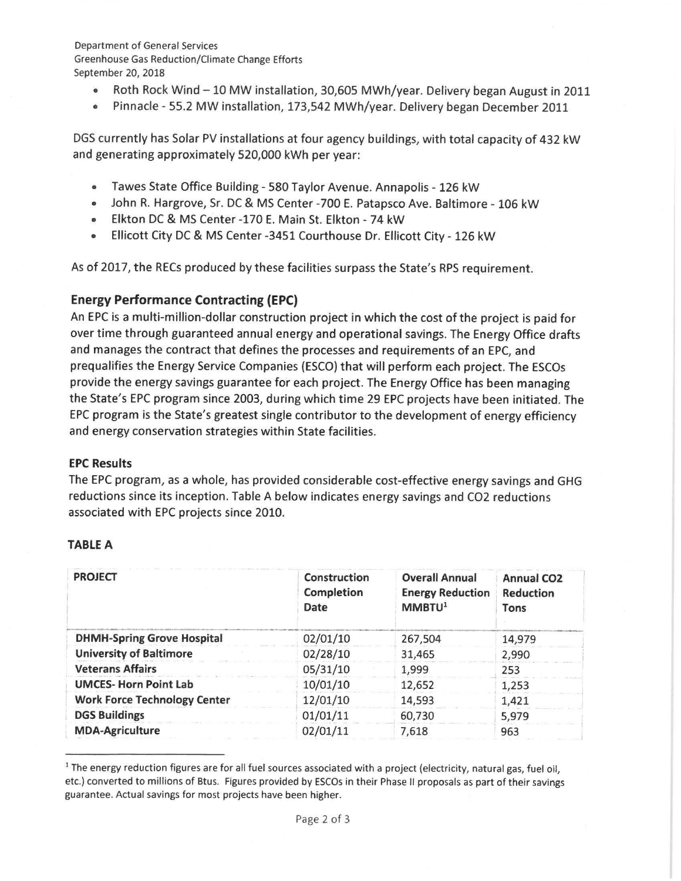Department of General Services Greenhouse Gas Reduction/Climate Change Efforts September 20, 2018

- Roth Rock Wind 10 MW installation, 30,605 MWh/year. Delivery began August in 2011
- Pinnacle 55.2 MW installation, 173,542 MWh/year. Delivery began December 2011

DGS currently has Solar PV installations at four agency buildings, with total capacity of 432 kW and generating approximately 520,000 kWh per year:

- Tawes State Office Building 580 Taylor Avenue. Annapolis 126 kW
- John R. Hargrove, Sr. DC & MS Center -700 E. Patapsco Ave. Baltimore 106 kW
- Elkton DC & MS Center -170 E. Main St. Elkton 74 kW
- Ellicott City DC & MS Center -3451 Courthouse Dr. Ellicott City 126 kW

As of 2017, the RECs produced by these facilities surpass the State's RPS requirement.

# **Energy Performance Contracting (EPC)**

An EPC is a multi-million-dollar construction project in which the cost of the project is paid for over time through guaranteed annual energy and operational savings. The Energy Office drafts and manages the contract that defines the processes and requirements of an EPC, and prequalifies the Energy Service Companies (ESCO) that will perform each project. The ESCOs provide the energy savings guarantee for each project. The Energy Office has been managing the State's EPC program since 2003, during which time 29 EPC projects have been initiated. The EPC program is the State's greatest single contributor to the development of energy efficiency and energy conservation strategies within State facilities.

## **EPC Results**

The EPC program, as a whole, has provided considerable cost-effective energy savings and GHG reductions since its inception. Table A below indicates energy savings and CO2 reductions associated with EPC projects since 2010.

## **TABLE A**

| <b>PROJECT</b>                      | Construction<br>Completion<br>Date | <b>Overall Annual</b><br><b>Energy Reduction</b><br>MMBTU <sup>1</sup> | <b>Annual CO2</b><br><b>Reduction</b><br><b>Tons</b> |
|-------------------------------------|------------------------------------|------------------------------------------------------------------------|------------------------------------------------------|
| <b>DHMH-Spring Grove Hospital</b>   | 02/01/10                           | 267,504                                                                | 14,979                                               |
| <b>University of Baltimore</b>      | 02/28/10                           | 31,465                                                                 | 2,990                                                |
| <b>Veterans Affairs</b>             | 05/31/10                           | 1,999                                                                  | 253                                                  |
| <b>UMCES-Horn Point Lab</b>         | 10/01/10                           | 12,652                                                                 | 1,253                                                |
| <b>Work Force Technology Center</b> | 12/01/10                           | 14,593                                                                 | 1,421                                                |
| <b>DGS Buildings</b>                | 01/01/11                           | 60,730                                                                 | 5,979                                                |
| <b>MDA-Agriculture</b>              | 02/01/11                           | 7,618                                                                  | 963                                                  |

<sup>&</sup>lt;sup>1</sup> The energy reduction figures are for all fuel sources associated with a project (electricity, natural gas, fuel oil, etc.) converted to millions of Btus. Figures provided by ESCOs in their Phase II proposals as part of their savings guarantee. Actual savings for most projects have been higher.